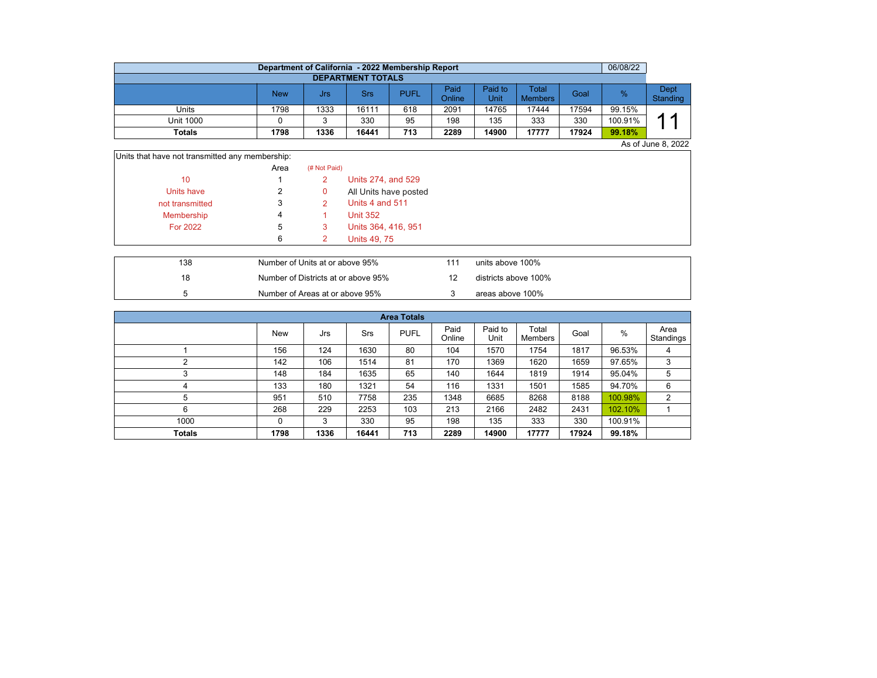|                          | Department of California - 2022 Membership Report |      |       |      |                |                 |                         |       | 06/08/22 |                  |  |  |  |  |
|--------------------------|---------------------------------------------------|------|-------|------|----------------|-----------------|-------------------------|-------|----------|------------------|--|--|--|--|
| <b>DEPARTMENT TOTALS</b> |                                                   |      |       |      |                |                 |                         |       |          |                  |  |  |  |  |
|                          | New                                               | Jrs  | Srs   | PUFL | Paid<br>Online | Paid to<br>Unit | Total<br><b>Members</b> | Goal  | %        | Dept<br>Standing |  |  |  |  |
| Units                    | 1798                                              | 1333 | 16111 | 618  | 2091           | 14765           | 17444                   | 17594 | 99.15%   |                  |  |  |  |  |
| Unit 1000                |                                                   |      | 330   | 95   | 198            | 135             | 333                     | 330   | 100.91%  | ◢                |  |  |  |  |
| Totals                   | 1798                                              | 1336 | 16441 | 713  | 2289           | 14900           | 17777                   | 17924 | 99.18%   |                  |  |  |  |  |

As of June 8, 2022

| Units that have not transmitted any membership: |      |              |                       |
|-------------------------------------------------|------|--------------|-----------------------|
|                                                 | Area | (# Not Paid) |                       |
| 10                                              |      |              | Units 274, and 529    |
| Units have                                      |      | 0            | All Units have posted |
| not transmitted                                 |      |              | Units 4 and 511       |
| Membership                                      | 4    |              | <b>Unit 352</b>       |
| <b>For 2022</b>                                 | b    | 3            | Units 364, 416, 951   |
|                                                 | 6    |              | <b>Units 49, 75</b>   |

| 138 | Number of Units at or above 95%     | 111 | units above 100%     |
|-----|-------------------------------------|-----|----------------------|
| 18  | Number of Districts at or above 95% |     | districts above 100% |
|     | Number of Areas at or above 95%     |     | areas above 100%     |

| <b>Area Totals</b> |            |      |       |             |                |                 |                  |       |         |                   |  |  |  |
|--------------------|------------|------|-------|-------------|----------------|-----------------|------------------|-------|---------|-------------------|--|--|--|
|                    | <b>New</b> | Jrs  | Srs   | <b>PUFL</b> | Paid<br>Online | Paid to<br>Unit | Total<br>Members | Goal  | %       | Area<br>Standings |  |  |  |
|                    | 156        | 124  | 1630  | 80          | 104            | 1570            | 1754             | 1817  | 96.53%  | 4                 |  |  |  |
| C                  | 142        | 106  | 1514  | 81          | 170            | 1369            | 1620             | 1659  | 97.65%  | 3                 |  |  |  |
| っ                  | 148        | 184  | 1635  | 65          | 140            | 1644            | 1819             | 1914  | 95.04%  | 5                 |  |  |  |
| 4                  | 133        | 180  | 1321  | 54          | 116            | 1331            | 1501             | 1585  | 94.70%  | 6                 |  |  |  |
| 5                  | 951        | 510  | 7758  | 235         | 1348           | 6685            | 8268             | 8188  | 100.98% | $\overline{2}$    |  |  |  |
| 6                  | 268        | 229  | 2253  | 103         | 213            | 2166            | 2482             | 2431  | 102.10% |                   |  |  |  |
| 1000               | $\Omega$   | 3    | 330   | 95          | 198            | 135             | 333              | 330   | 100.91% |                   |  |  |  |
| Totals             | 1798       | 1336 | 16441 | 713         | 2289           | 14900           | 17777            | 17924 | 99.18%  |                   |  |  |  |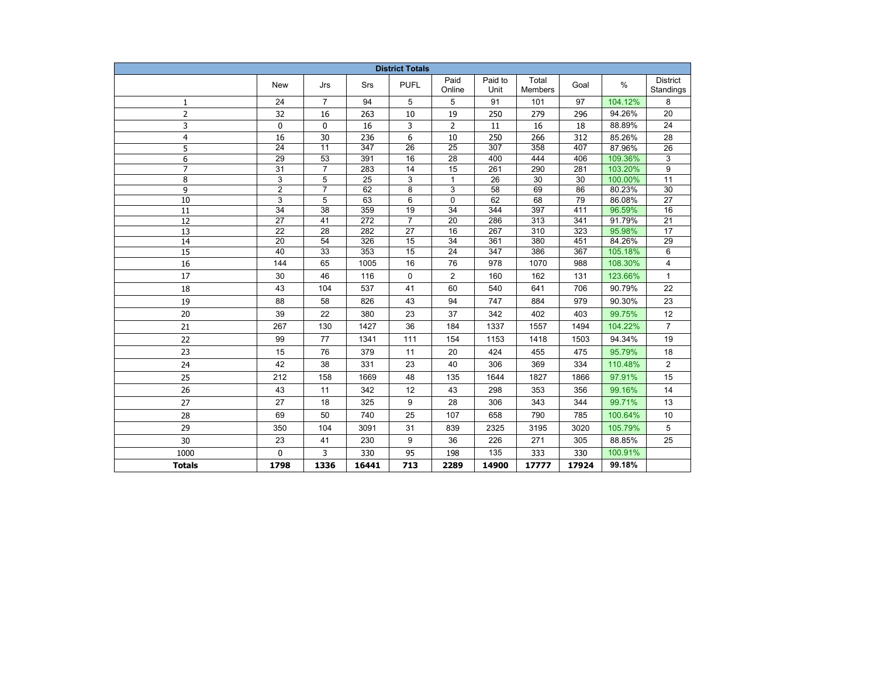| <b>District Totals</b> |                       |                       |                 |                 |                                    |                  |                  |            |                   |                       |  |
|------------------------|-----------------------|-----------------------|-----------------|-----------------|------------------------------------|------------------|------------------|------------|-------------------|-----------------------|--|
|                        | New                   | Jrs                   | Srs             | <b>PUFL</b>     | Paid<br>Online                     | Paid to<br>Unit  | Total<br>Members | Goal       | $\%$              | District<br>Standings |  |
| 1                      | 24                    | $\overline{7}$        | 94              | 5               | 5                                  | 91               | 101              | 97         | 104.12%           | 8                     |  |
| $\overline{2}$         | 32                    | 16                    | 263             | 10              | 19                                 | 250              | 279              | 296        | 94.26%            | 20                    |  |
| 3                      | $\mathbf 0$           | 0                     | 16              | 3               | 2                                  | 11               | 16               | 18         | 88.89%            | 24                    |  |
| $\overline{4}$         | 16                    | 30                    | 236             | 6               | 10                                 | 250              | 266              | 312        | 85.26%            | 28                    |  |
| 5                      | $\overline{24}$       | $\overline{11}$       | 347             | $\overline{26}$ | $\overline{25}$                    | $\overline{307}$ | 358              | 407        | 87.96%            | 26                    |  |
| 6                      | $\overline{29}$       | $\overline{53}$       | 391             | 16              | $\overline{28}$                    | 400              | 444              | 406        | 109.36%           | 3                     |  |
| $\overline{7}$         | $\overline{31}$       | $\overline{7}$        | 283             | 14              | 15                                 | 261              | 290              | 281        | 103.20%           | $\overline{9}$        |  |
| 8                      | 3                     | 5                     | $\overline{25}$ | 3               | $\mathbf{1}$                       | $\overline{26}$  | $\overline{30}$  | 30         | 100.00%           | $\overline{11}$       |  |
| 9                      | $\overline{2}$        | $\overline{7}$        | 62              | 8               | 3                                  | 58               | 69               | 86         | 80.23%            | 30                    |  |
| 10                     | 3                     | 5                     | 63              | 6               | 0                                  | 62               | 68               | 79         | 86.08%            | 27                    |  |
| 11                     | 34                    | 38                    | 359             | 19              | 34                                 | 344              | 397              | 411        | 96.59%            | 16                    |  |
| 12                     | 27                    | 41                    | 272             | $\overline{7}$  | 20                                 | 286              | 313              | 341        | 91.79%            | 21                    |  |
| 13                     | 22                    | 28                    | 282             | 27              | 16                                 | 267              | 310              | 323        | 95.98%            | 17                    |  |
| 14<br>$\overline{15}$  | $\overline{20}$<br>40 | 54<br>$\overline{33}$ | 326<br>353      | 15<br>15        | $\overline{34}$<br>$\overline{24}$ | 361<br>347       | 380<br>386       | 451<br>367 | 84.26%<br>105.18% | 29<br>6               |  |
|                        | 144                   | 65                    |                 | 16              | 76                                 | 978              |                  | 988        |                   |                       |  |
| 16                     |                       |                       | 1005            |                 |                                    |                  | 1070             |            | 108.30%           | 4                     |  |
| 17                     | 30                    | 46                    | 116             | 0               | $\overline{2}$                     | 160              | 162              | 131        | 123.66%           | $\mathbf{1}$          |  |
| 18                     | 43                    | 104                   | 537             | 41              | 60                                 | 540              | 641              | 706        | 90.79%            | 22                    |  |
| 19                     | 88                    | 58                    | 826             | 43              | 94                                 | 747              | 884              | 979        | 90.30%            | 23                    |  |
| 20                     | 39                    | 22                    | 380             | 23              | 37                                 | 342              | 402              | 403        | 99.75%            | 12                    |  |
| 21                     | 267                   | 130                   | 1427            | 36              | 184                                | 1337             | 1557             | 1494       | 104.22%           | $\overline{7}$        |  |
| 22                     | 99                    | 77                    | 1341            | 111             | 154                                | 1153             | 1418             | 1503       | 94.34%            | 19                    |  |
| 23                     | 15                    | 76                    | 379             | 11              | 20                                 | 424              | 455              | 475        | 95.79%            | 18                    |  |
| 24                     | 42                    | 38                    | 331             | 23              | 40                                 | 306              | 369              | 334        | 110.48%           | $\overline{2}$        |  |
| 25                     | 212                   | 158                   | 1669            | 48              | 135                                | 1644             | 1827             | 1866       | 97.91%            | 15                    |  |
| 26                     | 43                    | 11                    | 342             | 12              | 43                                 | 298              | 353              | 356        | 99.16%            | 14                    |  |
| 27                     | 27                    | 18                    | 325             | 9               | 28                                 | 306              | 343              | 344        | 99.71%            | 13                    |  |
| 28                     | 69                    | 50                    | 740             | 25              | 107                                | 658              | 790              | 785        | 100.64%           | 10                    |  |
| 29                     | 350                   | 104                   | 3091            | 31              | 839                                | 2325             | 3195             | 3020       | 105.79%           | 5                     |  |
| 30                     | 23                    | 41                    | 230             | 9               | 36                                 | 226              | 271              | 305        | 88.85%            | 25                    |  |
| 1000                   | 0                     | 3                     | 330             | 95              | 198                                | 135              | 333              | 330        | 100.91%           |                       |  |
| <b>Totals</b>          | 1798                  | 1336                  | 16441           | 713             | 2289                               | 14900            | 17777            | 17924      | 99.18%            |                       |  |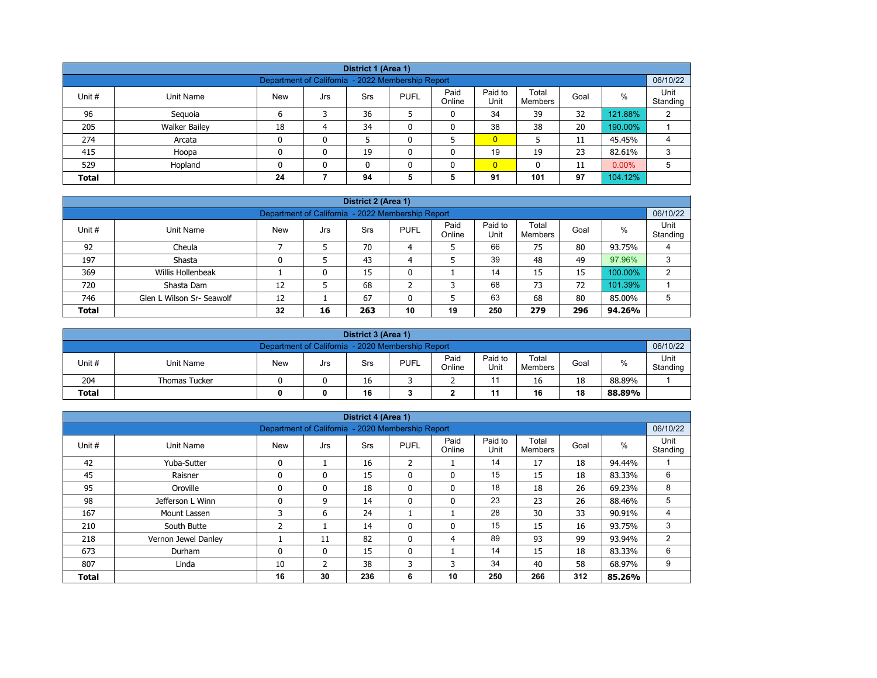| District 1 (Area 1)                                                                                                                            |                                                                                 |    |   |    |   |   |                |     |    |         |   |  |  |
|------------------------------------------------------------------------------------------------------------------------------------------------|---------------------------------------------------------------------------------|----|---|----|---|---|----------------|-----|----|---------|---|--|--|
| 06/10/22<br>Department of California - 2022 Membership Report                                                                                  |                                                                                 |    |   |    |   |   |                |     |    |         |   |  |  |
| Paid<br>Paid to<br>Total<br>$\%$<br>Unit #<br><b>PUFL</b><br>Goal<br>Unit Name<br><b>New</b><br><b>Srs</b><br>Jrs<br>Online<br>Unit<br>Members |                                                                                 |    |   |    |   |   |                |     |    |         |   |  |  |
| 96                                                                                                                                             | Seguoia                                                                         | 6  |   | 36 |   | 0 | 34             | 39  | 32 | 121.88% | 2 |  |  |
| 205                                                                                                                                            | <b>Walker Bailey</b>                                                            | 18 | 4 | 34 |   | 0 | 38             | 38  | 20 | 190.00% |   |  |  |
| 274                                                                                                                                            | Arcata                                                                          | 0  | 0 |    |   |   | $\overline{0}$ |     | 11 | 45.45%  | 4 |  |  |
| 415                                                                                                                                            | Hoopa                                                                           | 0  | 0 | 19 |   | 0 | 19             | 19  | 23 | 82.61%  | 3 |  |  |
| 529                                                                                                                                            | $0.00\%$<br>$\overline{0}$<br>Hopland<br>0<br>11<br>$\mathbf{0}$<br>n<br>0<br>5 |    |   |    |   |   |                |     |    |         |   |  |  |
| <b>Total</b>                                                                                                                                   |                                                                                 | 24 |   | 94 | 5 | 5 | 91             | 101 | 97 | 104.12% |   |  |  |

| District 2 (Area 1)                                                                                                                                 |                                                                                  |    |   |    |   |   |    |    |    |         |   |  |  |  |
|-----------------------------------------------------------------------------------------------------------------------------------------------------|----------------------------------------------------------------------------------|----|---|----|---|---|----|----|----|---------|---|--|--|--|
|                                                                                                                                                     | 06/10/22<br>Department of California - 2022 Membership Report                    |    |   |    |   |   |    |    |    |         |   |  |  |  |
| Paid<br>Paid to<br>Total<br>$\%$<br>Unit #<br><b>PUFL</b><br><b>New</b><br>Unit Name<br>Srs<br>Goal<br>Jrs<br>Unit<br>Online<br>Standing<br>Members |                                                                                  |    |   |    |   |   |    |    |    |         |   |  |  |  |
| 92                                                                                                                                                  | Cheula                                                                           |    |   | 70 | 4 |   | 66 | 75 | 80 | 93.75%  |   |  |  |  |
| 197                                                                                                                                                 | Shasta                                                                           |    |   | 43 | 4 |   | 39 | 48 | 49 | 97.96%  |   |  |  |  |
| 369                                                                                                                                                 | Willis Hollenbeak                                                                |    | 0 | 15 | 0 |   | 14 | 15 | 15 | 100.00% | ົ |  |  |  |
| 720                                                                                                                                                 | Shasta Dam                                                                       | 12 |   | 68 | ∠ | 3 | 68 | 73 | 72 | 101.39% |   |  |  |  |
| 746                                                                                                                                                 | 63<br>80<br>67<br>68<br>Glen L Wilson Sr- Seawolf<br>12<br>5<br>85.00%<br>5<br>0 |    |   |    |   |   |    |    |    |         |   |  |  |  |
| <b>Total</b>                                                                                                                                        | 250<br>32<br>10<br>19<br>296<br>279<br>94.26%<br>16<br>263                       |    |   |    |   |   |    |    |    |         |   |  |  |  |

|                                                               | District 3 (Area 1)                 |     |     |     |             |                |                 |                  |      |        |                  |  |  |
|---------------------------------------------------------------|-------------------------------------|-----|-----|-----|-------------|----------------|-----------------|------------------|------|--------|------------------|--|--|
| 06/10/22<br>Department of California - 2020 Membership Report |                                     |     |     |     |             |                |                 |                  |      |        |                  |  |  |
| Unit #                                                        | Unit Name                           | New | Jrs | Srs | <b>PUFL</b> | Paid<br>Online | Paid to<br>Unit | Total<br>Members | Goal | %      | Unit<br>Standing |  |  |
| 204                                                           | <b>Thomas Tucker</b>                |     |     | 16  |             | ∼              |                 | 16               | 18   | 88.89% |                  |  |  |
| <b>Total</b>                                                  | 16<br>18<br>16<br>11<br>88.89%<br>0 |     |     |     |             |                |                 |                  |      |        |                  |  |  |

|              |                     |                                                   |              | District 4 (Area 1) |                |                |                 |                         |      |        |                  |
|--------------|---------------------|---------------------------------------------------|--------------|---------------------|----------------|----------------|-----------------|-------------------------|------|--------|------------------|
|              |                     | Department of California - 2020 Membership Report |              |                     |                |                |                 |                         |      |        | 06/10/22         |
| Unit #       | Unit Name           | <b>New</b>                                        | Jrs          | Srs                 | <b>PUFL</b>    | Paid<br>Online | Paid to<br>Unit | Total<br><b>Members</b> | Goal | $\%$   | Unit<br>Standing |
| 42           | Yuba-Sutter         | 0                                                 |              | 16                  | $\overline{2}$ |                | 14              | 17                      | 18   | 94.44% |                  |
| 45           | Raisner             | 0                                                 | $\mathbf{0}$ | 15                  | $\mathbf{0}$   | 0              | 15              | 15                      | 18   | 83.33% | 6                |
| 95           | Oroville            | 0                                                 | 0            | 18                  | 0              | 0              | 18              | 18                      | 26   | 69.23% | 8                |
| 98           | Jefferson L Winn    |                                                   | 9            | 14                  | $\mathbf{0}$   | 0              | 23              | 23                      | 26   | 88.46% | 5                |
| 167          | Mount Lassen        | 3                                                 | 6            | 24                  |                |                | 28              | 30                      | 33   | 90.91% | 4                |
| 210          | South Butte         | ີ                                                 |              | 14                  | $\Omega$       | $\mathbf{0}$   | 15              | 15                      | 16   | 93.75% | 3                |
| 218          | Vernon Jewel Danley |                                                   | 11           | 82                  | $\mathbf{0}$   | 4              | 89              | 93                      | 99   | 93.94% | 2                |
| 673          | Durham              | 0                                                 | $\mathbf{0}$ | 15                  | $\mathbf{0}$   |                | 14              | 15                      | 18   | 83.33% | 6                |
| 807          | Linda               | 10                                                | 2            | 38                  | 3              | 3              | 34              | 40                      | 58   | 68.97% | 9                |
| <b>Total</b> |                     | 16                                                | 30           | 236                 | 6              | 10             | 250             | 266                     | 312  | 85.26% |                  |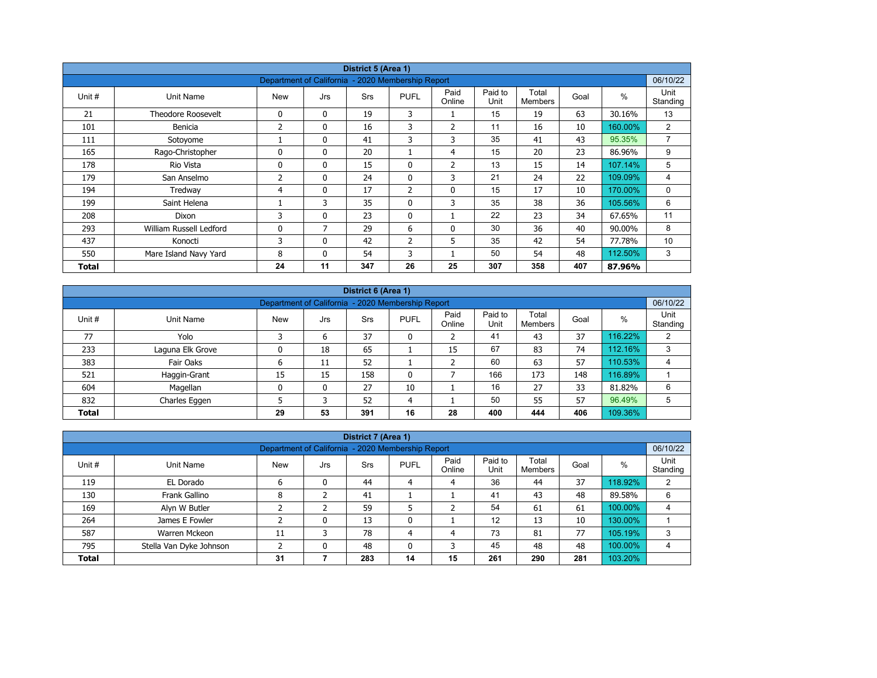| District 5 (Area 1) |                           |                                                   |              |            |                |                |                 |                         |      |         |                  |  |
|---------------------|---------------------------|---------------------------------------------------|--------------|------------|----------------|----------------|-----------------|-------------------------|------|---------|------------------|--|
|                     |                           | Department of California - 2020 Membership Report |              |            |                |                |                 |                         |      |         | 06/10/22         |  |
| Unit #              | Unit Name                 | <b>New</b>                                        | Jrs          | <b>Srs</b> | <b>PUFL</b>    | Paid<br>Online | Paid to<br>Unit | Total<br><b>Members</b> | Goal | $\%$    | Unit<br>Standing |  |
| 21                  | <b>Theodore Roosevelt</b> | 0                                                 | $\mathbf{0}$ | 19         | 3              |                | 15              | 19                      | 63   | 30.16%  | 13               |  |
| 101                 | Benicia                   | 2                                                 | 0            | 16         | 3              | $\overline{2}$ | 11              | 16                      | 10   | 160.00% | $\overline{2}$   |  |
| 111                 | Sotoyome                  |                                                   | $\mathbf{0}$ | 41         | 3              | 3              | 35              | 41                      | 43   | 95.35%  | $\overline{7}$   |  |
| 165                 | Rago-Christopher          | $\Omega$                                          | $\mathbf{0}$ | 20         |                | $\overline{4}$ | 15              | 20                      | 23   | 86.96%  | 9                |  |
| 178                 | Rio Vista                 | 0                                                 | $\mathbf{0}$ | 15         | 0              | $\overline{2}$ | 13              | 15                      | 14   | 107.14% | 5                |  |
| 179                 | San Anselmo               | 2                                                 | $\mathbf{0}$ | 24         | $\mathbf{0}$   | 3              | 21              | 24                      | 22   | 109.09% | 4                |  |
| 194                 | Tredway                   | 4                                                 | 0            | 17         | $\overline{2}$ | $\mathbf 0$    | 15              | 17                      | 10   | 170.00% | 0                |  |
| 199                 | Saint Helena              |                                                   | 3            | 35         | $\mathbf{0}$   | 3              | 35              | 38                      | 36   | 105.56% | 6                |  |
| 208                 | Dixon                     | 3                                                 | $\mathbf{0}$ | 23         | $\mathbf{0}$   |                | 22              | 23                      | 34   | 67.65%  | 11               |  |
| 293                 | William Russell Ledford   | 0                                                 | 7            | 29         | 6              | $\mathbf{0}$   | 30              | 36                      | 40   | 90.00%  | 8                |  |
| 437                 | Konocti                   | 3                                                 | $\mathbf{0}$ | 42         | 2              | 5              | 35              | 42                      | 54   | 77.78%  | 10               |  |
| 550                 | Mare Island Navy Yard     | 8                                                 | 0            | 54         | 3              |                | 50              | 54                      | 48   | 112.50% | 3                |  |
| Total               |                           | 24                                                | 11           | 347        | 26             | 25             | 307             | 358                     | 407  | 87.96%  |                  |  |

| District 6 (Area 1) |                                                                                                                                                  |    |              |     |              |    |     |     |     |         |   |  |  |  |
|---------------------|--------------------------------------------------------------------------------------------------------------------------------------------------|----|--------------|-----|--------------|----|-----|-----|-----|---------|---|--|--|--|
|                     | 06/10/22<br>Department of California - 2020 Membership Report                                                                                    |    |              |     |              |    |     |     |     |         |   |  |  |  |
| Unit #              | Paid<br>Paid to<br>Total<br>$\%$<br><b>PUFL</b><br>Goal<br><b>Srs</b><br>Unit Name<br><b>New</b><br>Jrs<br>Online<br>Unit<br>Standing<br>Members |    |              |     |              |    |     |     |     |         |   |  |  |  |
| 77                  | Yolo                                                                                                                                             |    | 6            | 37  | 0            | ີ  | 41  | 43  | 37  | 116.22% | 2 |  |  |  |
| 233                 | Laguna Elk Grove                                                                                                                                 |    | 18           | 65  |              | 15 | 67  | 83  | 74  | 112.16% | 3 |  |  |  |
| 383                 | Fair Oaks                                                                                                                                        | 6  | 11           | 52  |              |    | 60  | 63  | 57  | 110.53% | 4 |  |  |  |
| 521                 | Haggin-Grant                                                                                                                                     | 15 | 15           | 158 | $\mathbf{0}$ |    | 166 | 173 | 148 | 116.89% |   |  |  |  |
| 604                 | Magellan                                                                                                                                         |    | $\mathbf{0}$ | 27  | 10           |    | 16  | 27  | 33  | 81.82%  | 6 |  |  |  |
| 832                 | Charles Eggen                                                                                                                                    |    | p            | 52  | 4            |    | 50  | 55  | 57  | 96.49%  | 5 |  |  |  |
| <b>Total</b>        |                                                                                                                                                  | 29 | 53           | 391 | 16           | 28 | 400 | 444 | 406 | 109.36% |   |  |  |  |

|                                                                                                                                                         | District 7 (Area 1)                                                            |    |   |     |    |    |     |     |     |         |   |  |  |  |
|---------------------------------------------------------------------------------------------------------------------------------------------------------|--------------------------------------------------------------------------------|----|---|-----|----|----|-----|-----|-----|---------|---|--|--|--|
|                                                                                                                                                         | 06/10/22<br>Department of California - 2020 Membership Report                  |    |   |     |    |    |     |     |     |         |   |  |  |  |
| Paid to<br>Paid<br>Total<br>%<br>Unit #<br><b>New</b><br><b>PUFL</b><br>Unit Name<br>Goal<br><b>Srs</b><br>Jrs<br>Unit<br>Online<br>Standing<br>Members |                                                                                |    |   |     |    |    |     |     |     |         |   |  |  |  |
| 119                                                                                                                                                     | EL Dorado                                                                      | 6  | 0 | 44  | 4  | 4  | 36  | 44  | 37  | 118.92% | 2 |  |  |  |
| 130                                                                                                                                                     | Frank Gallino                                                                  | 8  |   | 41  |    |    | 41  | 43  | 48  | 89.58%  | 6 |  |  |  |
| 169                                                                                                                                                     | Alyn W Butler                                                                  |    |   | 59  | 5  |    | 54  | 61  | 61  | 100.00% | 4 |  |  |  |
| 264                                                                                                                                                     | James E Fowler                                                                 |    | 0 | 13  | 0  |    | 12  | 13  | 10  | 130.00% |   |  |  |  |
| 587                                                                                                                                                     | Warren Mckeon                                                                  | 11 | 3 | 78  | 4  | 4  | 73  | 81  | 77  | 105.19% | 3 |  |  |  |
| 795                                                                                                                                                     | 45<br>100.00%<br>48<br>48<br>3<br>48<br>Stella Van Dyke Johnson<br>0<br>0<br>4 |    |   |     |    |    |     |     |     |         |   |  |  |  |
| <b>Total</b>                                                                                                                                            |                                                                                | 31 |   | 283 | 14 | 15 | 261 | 290 | 281 | 103.20% |   |  |  |  |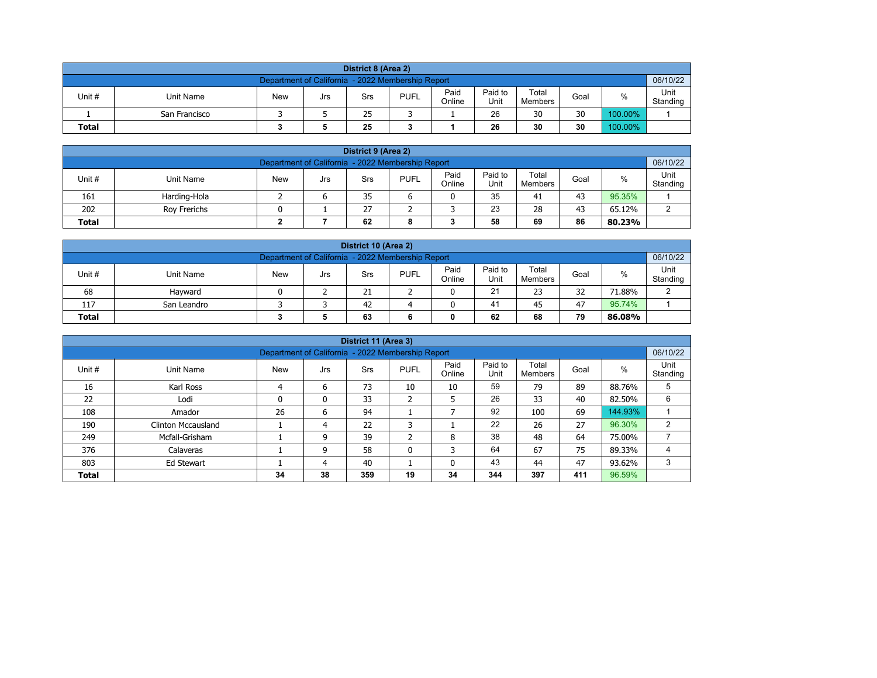| District 8 (Area 2)                                                                                                                         |                                                               |  |  |  |  |  |  |  |  |  |  |  |  |  |
|---------------------------------------------------------------------------------------------------------------------------------------------|---------------------------------------------------------------|--|--|--|--|--|--|--|--|--|--|--|--|--|
|                                                                                                                                             | 06/10/22<br>Department of California - 2022 Membership Report |  |  |  |  |  |  |  |  |  |  |  |  |  |
| Paid<br>Paid to<br>Total<br><b>PUFL</b><br>%<br>Unit #<br>Unit Name<br>Goal<br><b>New</b><br>Srs<br>Jrs<br>Unit<br>Online<br><b>Members</b> |                                                               |  |  |  |  |  |  |  |  |  |  |  |  |  |
|                                                                                                                                             | Standing<br>26<br>30<br>30<br>100.00%<br>25<br>San Francisco  |  |  |  |  |  |  |  |  |  |  |  |  |  |
| 30<br>30<br>100.00%<br>25<br>26<br><b>Total</b>                                                                                             |                                                               |  |  |  |  |  |  |  |  |  |  |  |  |  |

| District 9 (Area 2)                                                                                                                              |                                                |  |   |    |  |  |    |    |    |        |  |  |  |
|--------------------------------------------------------------------------------------------------------------------------------------------------|------------------------------------------------|--|---|----|--|--|----|----|----|--------|--|--|--|
| 06/10/22<br>Department of California - 2022 Membership Report                                                                                    |                                                |  |   |    |  |  |    |    |    |        |  |  |  |
| Paid<br>Paid to<br>Total<br>Unit #<br><b>PUFL</b><br>%<br><b>New</b><br>Unit Name<br>Goal<br>Srs<br>Jrs<br>Online<br>Unit<br>Standing<br>Members |                                                |  |   |    |  |  |    |    |    |        |  |  |  |
| 161                                                                                                                                              | Harding-Hola                                   |  | c | 35 |  |  | 35 | 41 | 43 | 95.35% |  |  |  |
| 202                                                                                                                                              | 23<br>27<br>28<br>43<br>65.12%<br>Rov Frerichs |  |   |    |  |  |    |    |    |        |  |  |  |
| 62<br>58<br>86<br>69<br><b>Total</b><br>80.23%<br>8                                                                                              |                                                |  |   |    |  |  |    |    |    |        |  |  |  |

| District 10 (Area 2)                                                                                                                             |                                                    |  |  |    |  |   |    |    |    |        |  |  |  |  |
|--------------------------------------------------------------------------------------------------------------------------------------------------|----------------------------------------------------|--|--|----|--|---|----|----|----|--------|--|--|--|--|
| Department of California - 2022 Membership Report<br>06/10/22                                                                                    |                                                    |  |  |    |  |   |    |    |    |        |  |  |  |  |
| Paid<br>Paid to<br>Total<br>%<br>Unit #<br><b>New</b><br><b>PUFL</b><br>Unit Name<br>Goal<br>Srs<br>Jrs<br>Online<br>Standing<br>Unit<br>Members |                                                    |  |  |    |  |   |    |    |    |        |  |  |  |  |
| 68                                                                                                                                               | Havward                                            |  |  | 21 |  | 0 | 21 | 23 | 32 | 71.88% |  |  |  |  |
| 117                                                                                                                                              | 95.74%<br>41<br>47<br>42<br>San Leandro<br>45<br>0 |  |  |    |  |   |    |    |    |        |  |  |  |  |
| 79<br>62<br>68<br><b>Total</b><br>63<br>86.08%<br>0                                                                                              |                                                    |  |  |    |  |   |    |    |    |        |  |  |  |  |

|              |                                                                                                                                                          |    |    | District 11 (Area 3) |                 |    |     |     |     |         |   |  |  |  |  |
|--------------|----------------------------------------------------------------------------------------------------------------------------------------------------------|----|----|----------------------|-----------------|----|-----|-----|-----|---------|---|--|--|--|--|
|              | 06/10/22<br>Department of California - 2022 Membership Report                                                                                            |    |    |                      |                 |    |     |     |     |         |   |  |  |  |  |
| Unit #       | Paid<br>Unit<br>Paid to<br>Total<br>$\%$<br><b>New</b><br><b>PUFL</b><br>Goal<br>Unit Name<br><b>Srs</b><br>Jrs<br>Unit<br>Online<br>Standing<br>Members |    |    |                      |                 |    |     |     |     |         |   |  |  |  |  |
| 16           | Karl Ross                                                                                                                                                | 4  | 6  | 73                   | 10              | 10 | 59  | 79  | 89  | 88.76%  | 5 |  |  |  |  |
| 22           | Lodi                                                                                                                                                     | 0  | 0  | 33                   | h<br>$\epsilon$ | 5  | 26  | 33  | 40  | 82.50%  | 6 |  |  |  |  |
| 108          | Amador                                                                                                                                                   | 26 | 6  | 94                   |                 |    | 92  | 100 | 69  | 144.93% |   |  |  |  |  |
| 190          | <b>Clinton Mccausland</b>                                                                                                                                |    | 4  | 22                   | 3               |    | 22  | 26  | 27  | 96.30%  | 2 |  |  |  |  |
| 249          | Mcfall-Grisham                                                                                                                                           |    | 9  | 39                   | h<br>∠          | 8  | 38  | 48  | 64  | 75.00%  |   |  |  |  |  |
| 376          | Calaveras                                                                                                                                                |    | 9  | 58                   | 0               | 3  | 64  | 67  | 75  | 89.33%  |   |  |  |  |  |
| 803          | 43<br>47<br>3<br>40<br>44<br>93.62%<br>Ed Stewart<br>0<br>4                                                                                              |    |    |                      |                 |    |     |     |     |         |   |  |  |  |  |
| <b>Total</b> |                                                                                                                                                          | 34 | 38 | 359                  | 19              | 34 | 344 | 397 | 411 | 96.59%  |   |  |  |  |  |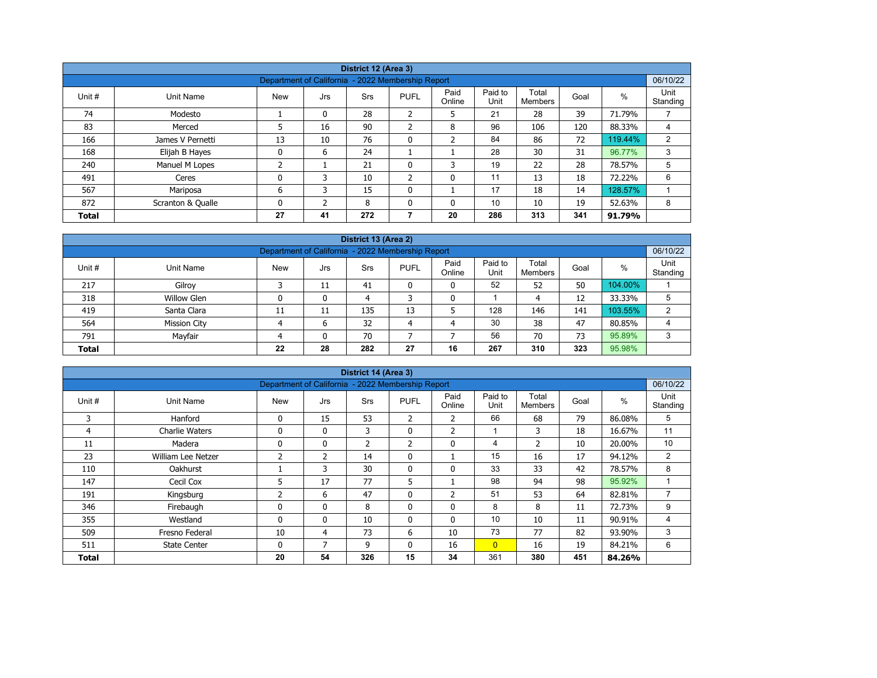| District 12 (Area 3) |                   |                                                   |          |            |              |                |                 |                  |      |         |                  |  |  |
|----------------------|-------------------|---------------------------------------------------|----------|------------|--------------|----------------|-----------------|------------------|------|---------|------------------|--|--|
|                      |                   | Department of California - 2022 Membership Report |          |            |              |                |                 |                  |      |         | 06/10/22         |  |  |
| Unit #               | Unit Name         | <b>New</b>                                        | Jrs      | <b>Srs</b> | <b>PUFL</b>  | Paid<br>Online | Paid to<br>Unit | Total<br>Members | Goal | %       | Unit<br>Standing |  |  |
| 74                   | Modesto           |                                                   | $\Omega$ | 28         | 2            | 5              | 21              | 28               | 39   | 71.79%  |                  |  |  |
| 83                   | Merced            | 5                                                 | 16       | 90         | 2            | 8              | 96              | 106              | 120  | 88.33%  | 4                |  |  |
| 166                  | James V Pernetti  | 13                                                | 10       | 76         | $\mathbf{0}$ | $\overline{2}$ | 84              | 86               | 72   | 119.44% | $\overline{2}$   |  |  |
| 168                  | Elijah B Hayes    | 0                                                 | 6        | 24         |              |                | 28              | 30               | 31   | 96.77%  | 3                |  |  |
| 240                  | Manuel M Lopes    | ำ                                                 |          | 21         | $\Omega$     | 3              | 19              | 22               | 28   | 78.57%  | 5                |  |  |
| 491                  | Ceres             | 0                                                 | 3        | 10         | 2            | 0              | 11              | 13               | 18   | 72.22%  | 6                |  |  |
| 567                  | Mariposa          | 6                                                 | 3        | 15         | $\Omega$     |                | 17              | 18               | 14   | 128.57% |                  |  |  |
| 872                  | Scranton & Qualle | 0                                                 | h        | 8          | $\Omega$     | 0              | 10              | 10               | 19   | 52.63%  | 8                |  |  |
| <b>Total</b>         |                   | 27                                                | 41       | 272        |              | 20             | 286             | 313              | 341  | 91.79%  |                  |  |  |

| District 13 (Area 2)                                                  |                                                                                                                                           |    |    |     |    |    |     |     |     |         |   |  |  |  |  |
|-----------------------------------------------------------------------|-------------------------------------------------------------------------------------------------------------------------------------------|----|----|-----|----|----|-----|-----|-----|---------|---|--|--|--|--|
|                                                                       | 06/10/22<br>Department of California - 2022 Membership Report                                                                             |    |    |     |    |    |     |     |     |         |   |  |  |  |  |
| Unit #                                                                | Paid to<br>Paid<br>Total<br>$\%$<br><b>New</b><br><b>PUFL</b><br>Unit Name<br>Goal<br>Srs<br>Jrs<br>Standing<br>Online<br>Unit<br>Members |    |    |     |    |    |     |     |     |         |   |  |  |  |  |
| 217                                                                   | Gilroy                                                                                                                                    |    | 11 | 41  |    | 0  | 52  | 52  | 50  | 104.00% |   |  |  |  |  |
| 318                                                                   | <b>Willow Glen</b>                                                                                                                        |    | 0  | 4   |    | 0  |     | 4   | 12  | 33.33%  | 5 |  |  |  |  |
| 419                                                                   | Santa Clara                                                                                                                               | 11 | 11 | 135 | 13 |    | 128 | 146 | 141 | 103.55% | າ |  |  |  |  |
| 564                                                                   | <b>Mission City</b>                                                                                                                       |    | 6  | 32  | 4  | 4  | 30  | 38  | 47  | 80.85%  | 4 |  |  |  |  |
| Mayfair<br>56<br>95.89%<br>70<br>70<br>73<br>791<br>3<br>$\mathbf{0}$ |                                                                                                                                           |    |    |     |    |    |     |     |     |         |   |  |  |  |  |
| <b>Total</b>                                                          |                                                                                                                                           | 22 | 28 | 282 | 27 | 16 | 267 | 310 | 323 | 95.98%  |   |  |  |  |  |

| District 14 (Area 3)<br>06/10/22                  |                       |              |                |                |                |                |                 |                  |      |        |                  |  |  |  |
|---------------------------------------------------|-----------------------|--------------|----------------|----------------|----------------|----------------|-----------------|------------------|------|--------|------------------|--|--|--|
| Department of California - 2022 Membership Report |                       |              |                |                |                |                |                 |                  |      |        |                  |  |  |  |
| Unit #                                            | Unit Name             | <b>New</b>   | Jrs            | Srs            | <b>PUFL</b>    | Paid<br>Online | Paid to<br>Unit | Total<br>Members | Goal | %      | Unit<br>Standing |  |  |  |
| 3                                                 | Hanford               | 0            | 15             | 53             | $\overline{2}$ | 2              | 66              | 68               | 79   | 86.08% | 5                |  |  |  |
| 4                                                 | <b>Charlie Waters</b> | 0            | $\mathbf{0}$   | 3              | $\mathbf{0}$   | $\overline{2}$ | 4               | 3                | 18   | 16.67% | 11               |  |  |  |
| 11                                                | Madera                | 0            | 0              | $\overline{2}$ | 2              | 0              | 4               | $\overline{2}$   | 10   | 20.00% | 10               |  |  |  |
| 23                                                | William Lee Netzer    | 2            | 2              | 14             | $\Omega$       |                | 15              | 16               | 17   | 94.12% | 2                |  |  |  |
| 110                                               | <b>Oakhurst</b>       |              | 3              | 30             | 0              | 0              | 33              | 33               | 42   | 78.57% | 8                |  |  |  |
| 147                                               | Cecil Cox             | 5            | 17             | 77             | 5              |                | 98              | 94               | 98   | 95.92% |                  |  |  |  |
| 191                                               | Kingsburg             | 2            | 6              | 47             | $\Omega$       | $\overline{2}$ | 51              | 53               | 64   | 82.81% | $\overline{7}$   |  |  |  |
| 346                                               | Firebaugh             | 0            | $\mathbf{0}$   | 8              | 0              | 0              | 8               | 8                | 11   | 72.73% | 9                |  |  |  |
| 355                                               | Westland              | $\mathbf{0}$ | $\mathbf{0}$   | 10             | $\Omega$       | $\mathbf{0}$   | 10              | 10               | 11   | 90.91% | 4                |  |  |  |
| 509                                               | Fresno Federal        | 10           | 4              | 73             | 6              | 10             | 73              | 77               | 82   | 93.90% | 3                |  |  |  |
| 511                                               | <b>State Center</b>   | 0            | $\overline{7}$ | 9              | $\mathbf{0}$   | 16             | $\overline{0}$  | 16               | 19   | 84.21% | 6                |  |  |  |
| Total                                             |                       | 20           | 54             | 326            | 15             | 34             | 361             | 380              | 451  | 84.26% |                  |  |  |  |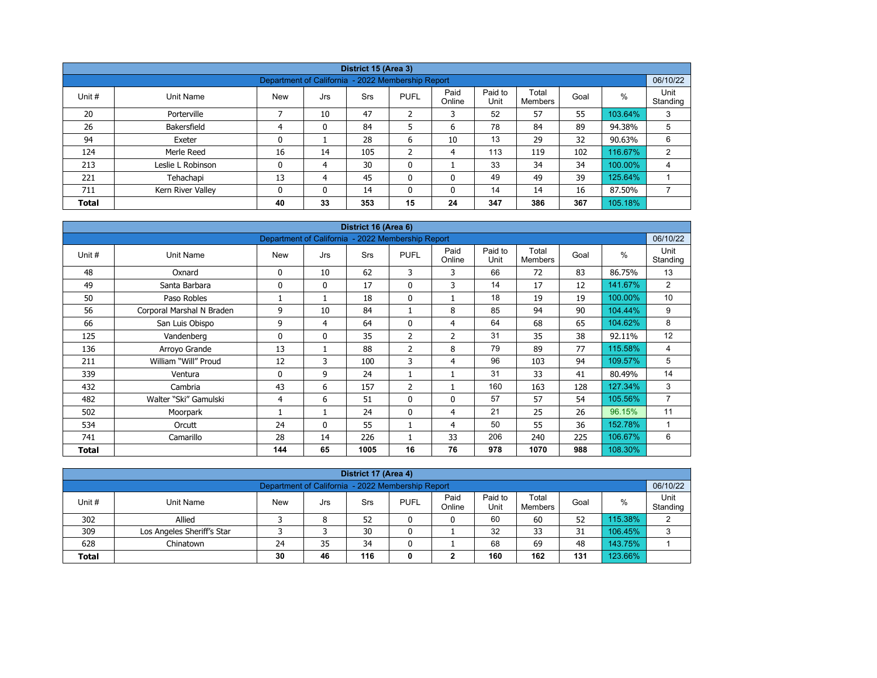| District 15 (Area 3)                                                                           |                                                                                                                                                     |                                                   |    |     |                |    |     |     |     |         |          |  |  |  |  |
|------------------------------------------------------------------------------------------------|-----------------------------------------------------------------------------------------------------------------------------------------------------|---------------------------------------------------|----|-----|----------------|----|-----|-----|-----|---------|----------|--|--|--|--|
|                                                                                                |                                                                                                                                                     | Department of California - 2022 Membership Report |    |     |                |    |     |     |     |         | 06/10/22 |  |  |  |  |
| Unit #                                                                                         | Paid<br>Paid to<br>Unit<br>Total<br>%<br><b>PUFL</b><br>Goal<br>Unit Name<br>Srs<br><b>New</b><br>Jrs<br>Unit<br>Online<br>Members<br>Standing<br>⇁ |                                                   |    |     |                |    |     |     |     |         |          |  |  |  |  |
| 20                                                                                             | Porterville                                                                                                                                         |                                                   | 10 | 47  | $\overline{2}$ | 3  | 52  | 57  | 55  | 103.64% | 3        |  |  |  |  |
| 26                                                                                             | Bakersfield                                                                                                                                         | 4                                                 | 0  | 84  | 5              | 6  | 78  | 84  | 89  | 94.38%  | 5        |  |  |  |  |
| 94                                                                                             | Exeter                                                                                                                                              | 0                                                 |    | 28  | 6              | 10 | 13  | 29  | 32  | 90.63%  | 6        |  |  |  |  |
| 124                                                                                            | Merle Reed                                                                                                                                          | 16                                                | 14 | 105 | $\overline{2}$ | 4  | 113 | 119 | 102 | 116.67% | 2        |  |  |  |  |
| 213                                                                                            | Leslie L Robinson                                                                                                                                   | 0                                                 | 4  | 30  | 0              |    | 33  | 34  | 34  | 100.00% | 4        |  |  |  |  |
| 221                                                                                            | Tehachapi                                                                                                                                           | 13                                                | 4  | 45  | 0              | 0  | 49  | 49  | 39  | 125.64% |          |  |  |  |  |
| ⇁<br>14<br>16<br>87.50%<br>711<br>$\mathbf{0}$<br>14<br>0<br>0<br>14<br>Kern River Valley<br>0 |                                                                                                                                                     |                                                   |    |     |                |    |     |     |     |         |          |  |  |  |  |
| <b>Total</b>                                                                                   |                                                                                                                                                     | 40                                                | 33 | 353 | 15             | 24 | 347 | 386 | 367 | 105.18% |          |  |  |  |  |

| District 16 (Area 6) |                           |                                                   |              |            |                |                |                 |                         |      |         |                  |  |  |
|----------------------|---------------------------|---------------------------------------------------|--------------|------------|----------------|----------------|-----------------|-------------------------|------|---------|------------------|--|--|
|                      |                           | Department of California - 2022 Membership Report |              |            |                |                |                 |                         |      |         | 06/10/22         |  |  |
| Unit #               | Unit Name                 | <b>New</b>                                        | Jrs          | <b>Srs</b> | <b>PUFL</b>    | Paid<br>Online | Paid to<br>Unit | Total<br><b>Members</b> | Goal | $\%$    | Unit<br>Standing |  |  |
| 48                   | Oxnard                    | 0                                                 | 10           | 62         | 3              | 3              | 66              | 72                      | 83   | 86.75%  | 13               |  |  |
| 49                   | Santa Barbara             | 0                                                 | $\mathbf{0}$ | 17         | $\Omega$       | 3              | 14              | 17                      | 12   | 141.67% | 2                |  |  |
| 50                   | Paso Robles               |                                                   |              | 18         | 0              |                | 18              | 19                      | 19   | 100.00% | 10               |  |  |
| 56                   | Corporal Marshal N Braden | 9                                                 | 10           | 84         | 1              | 8              | 85              | 94                      | 90   | 104.44% | 9                |  |  |
| 66                   | San Luis Obispo           | 9                                                 | 4            | 64         | $\Omega$       | 4              | 64              | 68                      | 65   | 104.62% | 8                |  |  |
| 125                  | Vandenberg                | 0                                                 | $\mathbf{0}$ | 35         | 2              | $\overline{2}$ | 31              | 35                      | 38   | 92.11%  | 12               |  |  |
| 136                  | Arroyo Grande             | 13                                                | $\mathbf{1}$ | 88         | 2              | 8              | 79              | 89                      | 77   | 115.58% | 4                |  |  |
| 211                  | William "Will" Proud      | 12                                                | 3            | 100        | 3              | 4              | 96              | 103                     | 94   | 109.57% | 5                |  |  |
| 339                  | Ventura                   | 0                                                 | 9            | 24         |                |                | 31              | 33                      | 41   | 80.49%  | 14               |  |  |
| 432                  | Cambria                   | 43                                                | 6            | 157        | $\overline{2}$ |                | 160             | 163                     | 128  | 127.34% | 3                |  |  |
| 482                  | Walter "Ski" Gamulski     | 4                                                 | 6            | 51         | $\mathbf{0}$   | $\Omega$       | 57              | 57                      | 54   | 105.56% | $\overline{7}$   |  |  |
| 502                  | Moorpark                  |                                                   | 1            | 24         | $\Omega$       | 4              | 21              | 25                      | 26   | 96.15%  | 11               |  |  |
| 534                  | Orcutt                    | 24                                                | $\mathbf{0}$ | 55         |                | 4              | 50              | 55                      | 36   | 152.78% |                  |  |  |
| 741                  | Camarillo                 | 28                                                | 14           | 226        |                | 33             | 206             | 240                     | 225  | 106.67% | 6                |  |  |
| <b>Total</b>         |                           | 144                                               | 65           | 1005       | 16             | 76             | 978             | 1070                    | 988  | 108.30% |                  |  |  |

| District 17 (Area 4)                                                                                                                                     |                            |    |    |    |  |   |    |    |    |         |   |  |  |  |
|----------------------------------------------------------------------------------------------------------------------------------------------------------|----------------------------|----|----|----|--|---|----|----|----|---------|---|--|--|--|
| 06/10/22<br>Department of California - 2022 Membership Report                                                                                            |                            |    |    |    |  |   |    |    |    |         |   |  |  |  |
| Paid<br>Paid to<br>Unit<br>Total<br>Unit #<br><b>PUFL</b><br><b>New</b><br>Goal<br>%<br>Unit Name<br>Srs<br>Jrs<br>Unit<br>Standing<br>Online<br>Members |                            |    |    |    |  |   |    |    |    |         |   |  |  |  |
| 302                                                                                                                                                      | Allied                     |    | 8  | 52 |  | 0 | 60 | 60 | 52 | 115.38% | ົ |  |  |  |
| 309                                                                                                                                                      | Los Angeles Sheriff's Star |    |    | 30 |  |   | 32 | 33 | 31 | 106.45% | 3 |  |  |  |
| 628                                                                                                                                                      | Chinatown                  | 24 | 35 | 34 |  |   | 68 | 69 | 48 | 143.75% |   |  |  |  |
| 123.66%<br>160<br>162<br>116<br>30<br>131<br>46<br><b>Total</b><br>0<br>◠                                                                                |                            |    |    |    |  |   |    |    |    |         |   |  |  |  |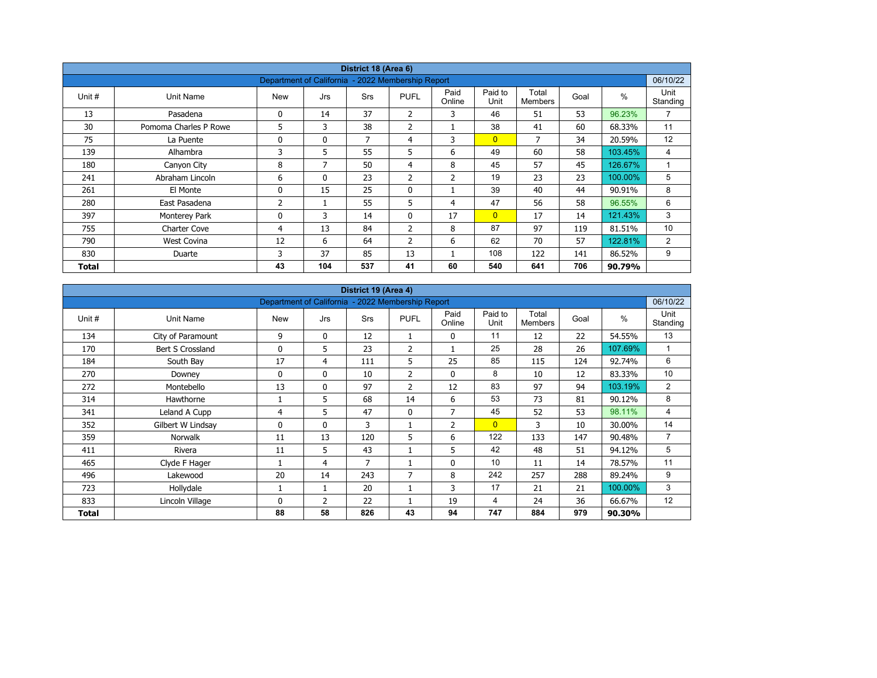| District 18 (Area 6) |                       |                                                   |              |            |                |                |                 |                         |      |         |                   |  |  |
|----------------------|-----------------------|---------------------------------------------------|--------------|------------|----------------|----------------|-----------------|-------------------------|------|---------|-------------------|--|--|
|                      |                       | Department of California - 2022 Membership Report |              |            |                |                |                 |                         |      |         | 06/10/22          |  |  |
| Unit #               | Unit Name             | <b>New</b>                                        | Jrs          | <b>Srs</b> | <b>PUFL</b>    | Paid<br>Online | Paid to<br>Unit | Total<br><b>Members</b> | Goal | $\%$    | Unit<br>Standing  |  |  |
| 13                   | Pasadena              | 0                                                 | 14           | 37         | $\overline{2}$ | 3              | 46              | 51                      | 53   | 96.23%  | $\overline{ }$    |  |  |
| 30                   | Pomoma Charles P Rowe | 5                                                 | 3            | 38         | 2              |                | 38              | 41                      | 60   | 68.33%  | 11                |  |  |
| 75                   | La Puente             | 0                                                 | $\mathbf{0}$ | 7          | 4              | 3              | $\overline{0}$  | 7                       | 34   | 20.59%  | $12 \overline{ }$ |  |  |
| 139                  | Alhambra              | 3                                                 | 5            | 55         | 5              | 6              | 49              | 60                      | 58   | 103.45% | 4                 |  |  |
| 180                  | Canyon City           | 8                                                 | 7            | 50         | $\overline{4}$ | 8              | 45              | 57                      | 45   | 126.67% |                   |  |  |
| 241                  | Abraham Lincoln       | 6                                                 | $\mathbf{0}$ | 23         | 2              | 2              | 19              | 23                      | 23   | 100.00% | 5                 |  |  |
| 261                  | El Monte              | 0                                                 | 15           | 25         | 0              | 1              | 39              | 40                      | 44   | 90.91%  | 8                 |  |  |
| 280                  | East Pasadena         | 2                                                 |              | 55         | 5              | 4              | 47              | 56                      | 58   | 96.55%  | 6                 |  |  |
| 397                  | Monterey Park         | 0                                                 | 3            | 14         | $\mathbf{0}$   | 17             | $\overline{0}$  | 17                      | 14   | 121.43% | 3                 |  |  |
| 755                  | Charter Cove          | 4                                                 | 13           | 84         | $\overline{2}$ | 8              | 87              | 97                      | 119  | 81.51%  | 10                |  |  |
| 790                  | West Covina           | 12                                                | 6            | 64         | $\overline{2}$ | 6              | 62              | 70                      | 57   | 122.81% | 2                 |  |  |
| 830                  | Duarte                | 3                                                 | 37           | 85         | 13             |                | 108             | 122                     | 141  | 86.52%  | 9                 |  |  |
| Total                |                       | 43                                                | 104          | 537        | 41             | 60             | 540             | 641                     | 706  | 90.79%  |                   |  |  |

| District 19 (Area 4)<br>Department of California - 2022 Membership Report |                   |              |              |     |                |                |                 |                         |      |               |                  |  |  |
|---------------------------------------------------------------------------|-------------------|--------------|--------------|-----|----------------|----------------|-----------------|-------------------------|------|---------------|------------------|--|--|
|                                                                           |                   |              |              |     |                |                |                 |                         |      |               | 06/10/22         |  |  |
| Unit #                                                                    | Unit Name         | <b>New</b>   | Jrs          | Srs | <b>PUFL</b>    | Paid<br>Online | Paid to<br>Unit | Total<br><b>Members</b> | Goal | $\frac{0}{0}$ | Unit<br>Standing |  |  |
| 134                                                                       | City of Paramount | 9            | 0            | 12  |                | 0              | 11              | 12                      | 22   | 54.55%        | 13               |  |  |
| 170                                                                       | Bert S Crossland  | 0            | 5            | 23  | $\overline{2}$ |                | 25              | 28                      | 26   | 107.69%       |                  |  |  |
| 184                                                                       | South Bay         | 17           | 4            | 111 | 5              | 25             | 85              | 115                     | 124  | 92.74%        | 6                |  |  |
| 270                                                                       | Downey            | 0            | $\mathbf{0}$ | 10  | 2              | $\mathbf{0}$   | 8               | 10                      | 12   | 83.33%        | 10               |  |  |
| 272                                                                       | Montebello        | 13           | $\mathbf{0}$ | 97  | $\overline{2}$ | 12             | 83              | 97                      | 94   | 103.19%       | 2                |  |  |
| 314                                                                       | Hawthorne         |              | 5            | 68  | 14             | 6              | 53              | 73                      | 81   | 90.12%        | 8                |  |  |
| 341                                                                       | Leland A Cupp     | 4            | 5.           | 47  | $\mathbf{0}$   | $\overline{7}$ | 45              | 52                      | 53   | 98.11%        | 4                |  |  |
| 352                                                                       | Gilbert W Lindsay | $\mathbf{0}$ | $\mathbf{0}$ | 3   |                | 2              | $\overline{0}$  | 3                       | 10   | 30.00%        | 14               |  |  |
| 359                                                                       | <b>Norwalk</b>    | 11           | 13           | 120 | 5              | 6              | 122             | 133                     | 147  | 90.48%        | $\overline{7}$   |  |  |
| 411                                                                       | Rivera            | 11           | 5            | 43  |                | 5              | 42              | 48                      | 51   | 94.12%        | 5                |  |  |
| 465                                                                       | Clyde F Hager     |              | 4            | 7   |                | 0              | 10              | 11                      | 14   | 78.57%        | 11               |  |  |
| 496                                                                       | Lakewood          | 20           | 14           | 243 | $\overline{7}$ | 8              | 242             | 257                     | 288  | 89.24%        | 9                |  |  |
| 723                                                                       | Hollydale         |              | 1            | 20  |                | 3              | 17              | 21                      | 21   | 100.00%       | 3                |  |  |
| 833                                                                       | Lincoln Village   | 0            | 2            | 22  |                | 19             | 4               | 24                      | 36   | 66.67%        | 12               |  |  |
| Total                                                                     |                   | 88           | 58           | 826 | 43             | 94             | 747             | 884                     | 979  | 90.30%        |                  |  |  |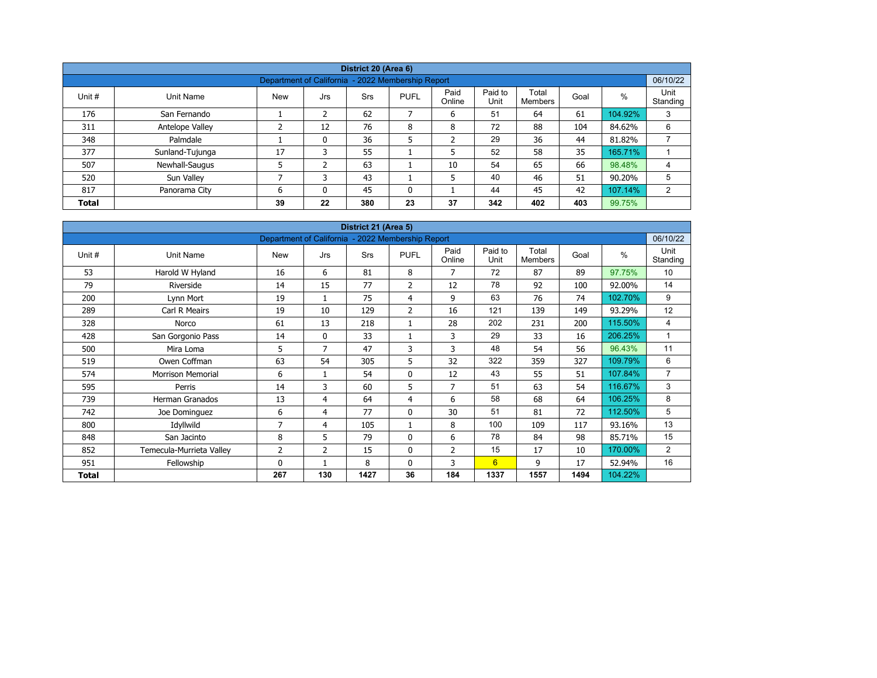| District 20 (Area 6) |                 |                                                   |     |            |              |                |                 |                  |      |         |                  |  |  |
|----------------------|-----------------|---------------------------------------------------|-----|------------|--------------|----------------|-----------------|------------------|------|---------|------------------|--|--|
|                      |                 |                                                   |     |            |              |                |                 |                  |      |         |                  |  |  |
|                      |                 | Department of California - 2022 Membership Report |     |            |              |                |                 |                  |      |         | 06/10/22         |  |  |
| Unit #               | Unit Name       | <b>New</b>                                        | Jrs | <b>Srs</b> | <b>PUFL</b>  | Paid<br>Online | Paid to<br>Unit | Total<br>Members | Goal | %       | Unit<br>Standing |  |  |
| 176                  | San Fernando    |                                                   | 2   | 62         |              | 6              | 51              | 64               | 61   | 104.92% | 3                |  |  |
| 311                  | Antelope Valley | ∍                                                 | 12  | 76         | 8            | 8              | 72              | 88               | 104  | 84.62%  | 6                |  |  |
| 348                  | Palmdale        |                                                   | 0   | 36         | 5            | $\overline{2}$ | 29              | 36               | 44   | 81.82%  |                  |  |  |
| 377                  | Sunland-Tujunga | 17                                                | 3   | 55         |              | 5              | 52              | 58               | 35   | 165.71% |                  |  |  |
| 507                  | Newhall-Saugus  |                                                   | 2   | 63         |              | 10             | 54              | 65               | 66   | 98.48%  | 4                |  |  |
| 520                  | Sun Valley      | ⇁                                                 |     | 43         |              | 5              | 40              | 46               | 51   | 90.20%  | 5                |  |  |
| 817                  | Panorama City   | 6                                                 | 0   | 45         | $\mathbf{0}$ |                | 44              | 45               | 42   | 107.14% | 2                |  |  |
| <b>Total</b>         |                 | 39                                                | 22  | 380        | 23           | 37             | 342             | 402              | 403  | 99.75%  |                  |  |  |

| District 21 (Area 5) |                          |                                                   |                |      |                |                |                 |                         |      |         |                  |  |  |
|----------------------|--------------------------|---------------------------------------------------|----------------|------|----------------|----------------|-----------------|-------------------------|------|---------|------------------|--|--|
|                      |                          | Department of California - 2022 Membership Report |                |      |                |                |                 |                         |      |         | 06/10/22         |  |  |
| Unit #               | Unit Name                | <b>New</b>                                        | Jrs            | Srs  | <b>PUFL</b>    | Paid<br>Online | Paid to<br>Unit | Total<br><b>Members</b> | Goal | $\%$    | Unit<br>Standing |  |  |
| 53                   | Harold W Hyland          | 16                                                | 6              | 81   | 8              | $\overline{7}$ | 72              | 87                      | 89   | 97.75%  | 10               |  |  |
| 79                   | Riverside                | 14                                                | 15             | 77   | 2              | 12             | 78              | 92                      | 100  | 92.00%  | 14               |  |  |
| 200                  | Lynn Mort                | 19                                                | 1              | 75   | 4              | 9              | 63              | 76                      | 74   | 102.70% | 9                |  |  |
| 289                  | Carl R Meairs            | 19                                                | 10             | 129  | $\overline{2}$ | 16             | 121             | 139                     | 149  | 93.29%  | 12               |  |  |
| 328                  | Norco                    | 61                                                | 13             | 218  |                | 28             | 202             | 231                     | 200  | 115.50% | 4                |  |  |
| 428                  | San Gorgonio Pass        | 14                                                | $\mathbf{0}$   | 33   |                | 3              | 29              | 33                      | 16   | 206.25% | 1                |  |  |
| 500                  | Mira Loma                | 5                                                 | $\overline{7}$ | 47   | 3              | 3              | 48              | 54                      | 56   | 96.43%  | 11               |  |  |
| 519                  | Owen Coffman             | 63                                                | 54             | 305  | 5              | 32             | 322             | 359                     | 327  | 109.79% | 6                |  |  |
| 574                  | <b>Morrison Memorial</b> | 6                                                 | 1              | 54   | 0              | 12             | 43              | 55                      | 51   | 107.84% | $\overline{7}$   |  |  |
| 595                  | Perris                   | 14                                                | 3              | 60   | 5              | $\overline{7}$ | 51              | 63                      | 54   | 116.67% | 3                |  |  |
| 739                  | Herman Granados          | 13                                                | 4              | 64   | $\overline{4}$ | 6              | 58              | 68                      | 64   | 106.25% | 8                |  |  |
| 742                  | Joe Dominguez            | 6                                                 | 4              | 77   | 0              | 30             | 51              | 81                      | 72   | 112.50% | 5                |  |  |
| 800                  | Idyllwild                | 7                                                 | 4              | 105  |                | 8              | 100             | 109                     | 117  | 93.16%  | 13               |  |  |
| 848                  | San Jacinto              | 8                                                 | 5              | 79   | 0              | 6              | 78              | 84                      | 98   | 85.71%  | 15               |  |  |
| 852                  | Temecula-Murrieta Valley | 2                                                 | $\overline{2}$ | 15   | $\mathbf 0$    | $\overline{2}$ | 15              | 17                      | 10   | 170.00% | $\overline{2}$   |  |  |
| 951                  | Fellowship               | $\mathbf{0}$                                      | 1              | 8    | $\mathbf{0}$   | 3              | 6               | 9                       | 17   | 52.94%  | 16               |  |  |
| Total                |                          | 267                                               | 130            | 1427 | 36             | 184            | 1337            | 1557                    | 1494 | 104.22% |                  |  |  |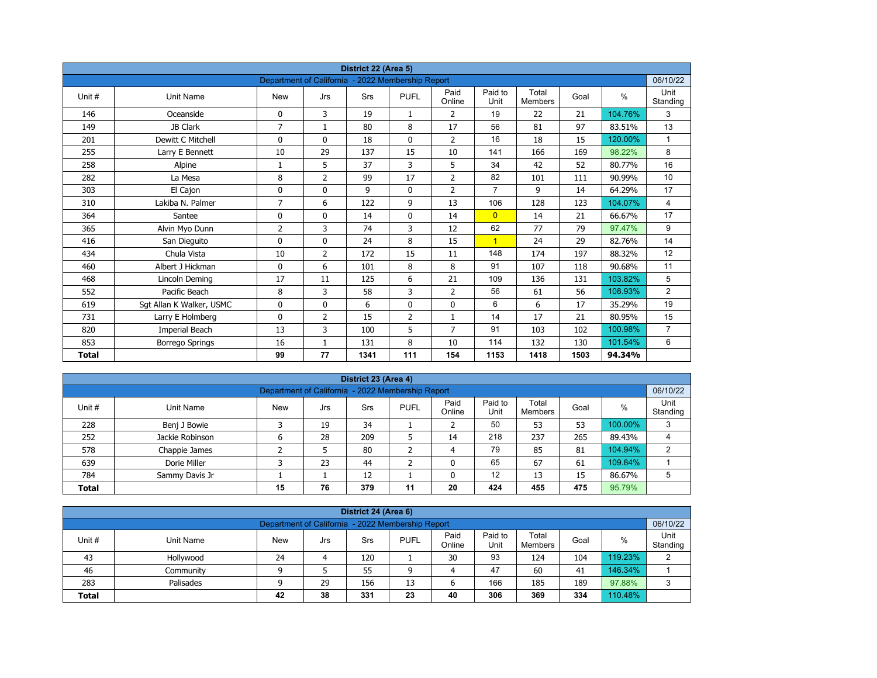| District 22 (Area 5) |                          |                                                   |                |      |                |                |                 |                         |      |               |                  |  |  |
|----------------------|--------------------------|---------------------------------------------------|----------------|------|----------------|----------------|-----------------|-------------------------|------|---------------|------------------|--|--|
|                      |                          | Department of California - 2022 Membership Report |                |      |                |                |                 |                         |      |               | 06/10/22         |  |  |
| Unit#                | <b>Unit Name</b>         | <b>New</b>                                        | Jrs            | Srs  | <b>PUFL</b>    | Paid<br>Online | Paid to<br>Unit | Total<br><b>Members</b> | Goal | $\frac{0}{0}$ | Unit<br>Standing |  |  |
| 146                  | Oceanside                | 0                                                 | 3              | 19   | 1              | 2              | 19              | 22                      | 21   | 104.76%       | 3                |  |  |
| 149                  | JB Clark                 | $\overline{7}$                                    | $\mathbf{1}$   | 80   | 8              | 17             | 56              | 81                      | 97   | 83.51%        | 13               |  |  |
| 201                  | Dewitt C Mitchell        | 0                                                 | $\mathbf{0}$   | 18   | $\mathbf{0}$   | $\overline{2}$ | 16              | 18                      | 15   | 120.00%       | $\mathbf{1}$     |  |  |
| 255                  | Larry E Bennett          | 10                                                | 29             | 137  | 15             | 10             | 141             | 166                     | 169  | 98.22%        | 8                |  |  |
| 258                  | Alpine                   | 1                                                 | 5              | 37   | 3              | 5              | 34              | 42                      | 52   | 80.77%        | 16               |  |  |
| 282                  | La Mesa                  | 8                                                 | $\overline{2}$ | 99   | 17             | $\overline{2}$ | 82              | 101                     | 111  | 90.99%        | 10               |  |  |
| 303                  | El Cajon                 | 0                                                 | 0              | 9    | 0              | $\overline{2}$ | $\overline{7}$  | 9                       | 14   | 64.29%        | 17               |  |  |
| 310                  | Lakiba N. Palmer         | 7                                                 | 6              | 122  | 9              | 13             | 106             | 128                     | 123  | 104.07%       | 4                |  |  |
| 364                  | Santee                   | 0                                                 | $\mathbf{0}$   | 14   | $\mathbf{0}$   | 14             | $\overline{0}$  | 14                      | 21   | 66.67%        | 17               |  |  |
| 365                  | Alvin Myo Dunn           | 2                                                 | 3              | 74   | 3              | 12             | 62              | 77                      | 79   | 97.47%        | 9                |  |  |
| 416                  | San Dieguito             | 0                                                 | $\mathbf{0}$   | 24   | 8              | 15             | $\overline{1}$  | 24                      | 29   | 82.76%        | 14               |  |  |
| 434                  | Chula Vista              | 10                                                | $\overline{2}$ | 172  | 15             | 11             | 148             | 174                     | 197  | 88.32%        | 12               |  |  |
| 460                  | Albert J Hickman         | 0                                                 | 6              | 101  | 8              | 8              | 91              | 107                     | 118  | 90.68%        | 11               |  |  |
| 468                  | Lincoln Deming           | 17                                                | 11             | 125  | 6              | 21             | 109             | 136                     | 131  | 103.82%       | 5                |  |  |
| 552                  | Pacific Beach            | 8                                                 | 3              | 58   | 3              | $\overline{2}$ | 56              | 61                      | 56   | 108.93%       | $\overline{2}$   |  |  |
| 619                  | Sgt Allan K Walker, USMC | 0                                                 | 0              | 6    | 0              | $\mathbf 0$    | 6               | 6                       | 17   | 35.29%        | 19               |  |  |
| 731                  | Larry E Holmberg         | 0                                                 | 2              | 15   | $\overline{2}$ | $\mathbf{1}$   | 14              | 17                      | 21   | 80.95%        | 15               |  |  |
| 820                  | Imperial Beach           | 13                                                | 3              | 100  | 5              | 7              | 91              | 103                     | 102  | 100.98%       | $\overline{7}$   |  |  |
| 853                  | Borrego Springs          | 16                                                | $\mathbf{1}$   | 131  | 8              | 10             | 114             | 132                     | 130  | 101.54%       | 6                |  |  |
| <b>Total</b>         |                          | 99                                                | 77             | 1341 | 111            | 154            | 1153            | 1418                    | 1503 | 94.34%        |                  |  |  |

| District 23 (Area 4)                                                                                                                                           |                 |   |    |     |   |    |     |     |     |         |   |  |  |  |
|----------------------------------------------------------------------------------------------------------------------------------------------------------------|-----------------|---|----|-----|---|----|-----|-----|-----|---------|---|--|--|--|
| Department of California - 2022 Membership Report                                                                                                              |                 |   |    |     |   |    |     |     |     |         |   |  |  |  |
| Paid<br>Paid to<br>Total<br>%<br>Unit #<br><b>PUFL</b><br>Goal<br>Unit Name<br><b>New</b><br><b>Srs</b><br>Jrs<br>Unit<br>Standing<br>Online<br><b>Members</b> |                 |   |    |     |   |    |     |     |     |         |   |  |  |  |
| 228                                                                                                                                                            | Benj J Bowie    |   | 19 | 34  |   |    | 50  | 53  | 53  | 100.00% | 3 |  |  |  |
| 252                                                                                                                                                            | Jackie Robinson | ь | 28 | 209 |   | 14 | 218 | 237 | 265 | 89.43%  | 4 |  |  |  |
| 578                                                                                                                                                            | Chappie James   |   |    | 80  | ∍ | 4  | 79  | 85  | 81  | 104.94% | 2 |  |  |  |
| 639                                                                                                                                                            | Dorie Miller    |   | 23 | 44  | ╮ |    | 65  | 67  | 61  | 109.84% |   |  |  |  |
| 12<br>12<br>13<br>86.67%<br>784<br>15<br>Sammy Davis Jr                                                                                                        |                 |   |    |     |   |    |     |     |     |         |   |  |  |  |
| 379<br>76<br>475<br>95.79%<br>20<br>424<br>455<br>15<br>11<br><b>Total</b>                                                                                     |                 |   |    |     |   |    |     |     |     |         |   |  |  |  |

| District 24 (Area 6)                                                                                                                                    |                                                               |    |    |     |    |    |     |     |     |         |   |  |  |  |
|---------------------------------------------------------------------------------------------------------------------------------------------------------|---------------------------------------------------------------|----|----|-----|----|----|-----|-----|-----|---------|---|--|--|--|
|                                                                                                                                                         | 06/10/22<br>Department of California - 2022 Membership Report |    |    |     |    |    |     |     |     |         |   |  |  |  |
| Paid<br>Paid to<br>Total<br><b>PUFL</b><br>%<br>Unit #<br>Goal<br>Unit Name<br><b>Srs</b><br><b>New</b><br>Jrs<br>Standing<br>Online<br>Unit<br>Members |                                                               |    |    |     |    |    |     |     |     |         |   |  |  |  |
| 43                                                                                                                                                      | Hollywood                                                     | 24 |    | 120 |    | 30 | 93  | 124 | 104 | 119.23% | 2 |  |  |  |
| 46                                                                                                                                                      | Community                                                     |    |    | 55  | a  |    | 47  | 60  | 41  | 146.34% |   |  |  |  |
| 283                                                                                                                                                     | Palisades                                                     |    | 29 | 156 | 13 | ь  | 166 | 185 | 189 | 97.88%  | ີ |  |  |  |
| 38<br>306<br>110.48%<br>331<br>40<br>369<br>334<br>42<br>23<br><b>Total</b>                                                                             |                                                               |    |    |     |    |    |     |     |     |         |   |  |  |  |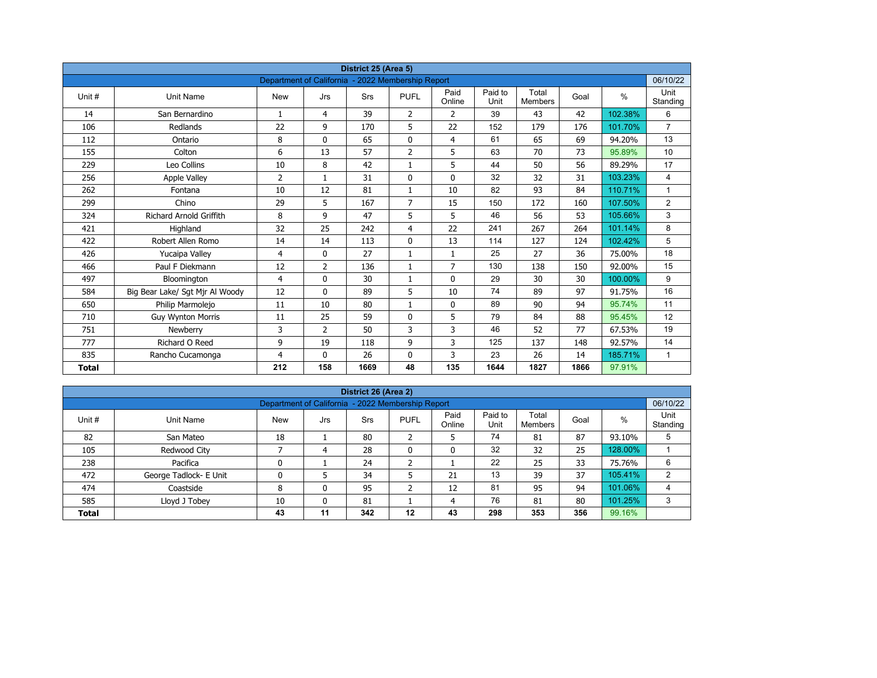| District 25 (Area 5)<br>Department of California - 2022 Membership Report |                                 |              |                |      |                |                |                 |                         |      |         |                  |  |  |
|---------------------------------------------------------------------------|---------------------------------|--------------|----------------|------|----------------|----------------|-----------------|-------------------------|------|---------|------------------|--|--|
|                                                                           |                                 |              |                |      |                |                |                 |                         |      |         | 06/10/22         |  |  |
| Unit #                                                                    | Unit Name                       | <b>New</b>   | Jrs            | Srs  | <b>PUFL</b>    | Paid<br>Online | Paid to<br>Unit | Total<br><b>Members</b> | Goal | $\%$    | Unit<br>Standing |  |  |
| 14                                                                        | San Bernardino                  | $\mathbf{1}$ | 4              | 39   | $\overline{2}$ | $\overline{2}$ | 39              | 43                      | 42   | 102.38% | 6                |  |  |
| 106                                                                       | Redlands                        | 22           | 9              | 170  | 5              | 22             | 152             | 179                     | 176  | 101.70% | $\overline{7}$   |  |  |
| 112                                                                       | Ontario                         | 8            | $\mathbf{0}$   | 65   | $\mathbf{0}$   | $\overline{4}$ | 61              | 65                      | 69   | 94.20%  | 13               |  |  |
| 155                                                                       | Colton                          | 6            | 13             | 57   | $\overline{2}$ | 5              | 63              | 70                      | 73   | 95.89%  | 10               |  |  |
| 229                                                                       | Leo Collins                     | 10           | 8              | 42   | $\mathbf{1}$   | 5              | 44              | 50                      | 56   | 89.29%  | 17               |  |  |
| 256                                                                       | <b>Apple Valley</b>             | 2            | $\mathbf{1}$   | 31   | $\mathbf 0$    | $\mathbf 0$    | 32              | 32                      | 31   | 103.23% | 4                |  |  |
| 262                                                                       | Fontana                         | 10           | 12             | 81   | $\mathbf{1}$   | 10             | 82              | 93                      | 84   | 110.71% | $\mathbf{1}$     |  |  |
| 299                                                                       | Chino                           | 29           | 5              | 167  | $\overline{7}$ | 15             | 150             | 172                     | 160  | 107.50% | $\overline{2}$   |  |  |
| 324                                                                       | <b>Richard Arnold Griffith</b>  | 8            | 9              | 47   | 5              | 5              | 46              | 56                      | 53   | 105.66% | 3                |  |  |
| 421                                                                       | Highland                        | 32           | 25             | 242  | $\overline{4}$ | 22             | 241             | 267                     | 264  | 101.14% | 8                |  |  |
| 422                                                                       | Robert Allen Romo               | 14           | 14             | 113  | $\mathbf 0$    | 13             | 114             | 127                     | 124  | 102.42% | 5                |  |  |
| 426                                                                       | Yucaipa Valley                  | 4            | $\Omega$       | 27   | $\mathbf{1}$   | $\mathbf{1}$   | 25              | 27                      | 36   | 75.00%  | 18               |  |  |
| 466                                                                       | Paul F Diekmann                 | 12           | 2              | 136  | $\mathbf 1$    | $\overline{7}$ | 130             | 138                     | 150  | 92.00%  | 15               |  |  |
| 497                                                                       | Bloomington                     | 4            | 0              | 30   | $\mathbf{1}$   | $\mathbf{0}$   | 29              | 30                      | 30   | 100.00% | 9                |  |  |
| 584                                                                       | Big Bear Lake/ Sgt Mjr Al Woody | 12           | 0              | 89   | 5              | 10             | 74              | 89                      | 97   | 91.75%  | 16               |  |  |
| 650                                                                       | Philip Marmolejo                | 11           | 10             | 80   | $\mathbf{1}$   | 0              | 89              | 90                      | 94   | 95.74%  | 11               |  |  |
| 710                                                                       | <b>Guy Wynton Morris</b>        | 11           | 25             | 59   | $\mathbf 0$    | 5              | 79              | 84                      | 88   | 95.45%  | 12               |  |  |
| 751                                                                       | Newberry                        | 3            | $\overline{2}$ | 50   | 3              | 3              | 46              | 52                      | 77   | 67.53%  | 19               |  |  |
| 777                                                                       | Richard O Reed                  | 9            | 19             | 118  | 9              | 3              | 125             | 137                     | 148  | 92.57%  | 14               |  |  |
| 835                                                                       | Rancho Cucamonga                | 4            | 0              | 26   | $\mathbf{0}$   | 3              | 23              | 26                      | 14   | 185.71% | $\mathbf{1}$     |  |  |
| <b>Total</b>                                                              |                                 | 212          | 158            | 1669 | 48             | 135            | 1644            | 1827                    | 1866 | 97.91%  |                  |  |  |

| District 26 (Area 2) |                                                               |            |     |            |              |                |                 |                  |      |         |                  |  |  |  |  |
|----------------------|---------------------------------------------------------------|------------|-----|------------|--------------|----------------|-----------------|------------------|------|---------|------------------|--|--|--|--|
|                      | 06/10/22<br>Department of California - 2022 Membership Report |            |     |            |              |                |                 |                  |      |         |                  |  |  |  |  |
| Unit #               | Unit Name                                                     | <b>New</b> | Jrs | <b>Srs</b> | <b>PUFL</b>  | Paid<br>Online | Paid to<br>Unit | Total<br>Members | Goal | %       | Unit<br>Standing |  |  |  |  |
| 82                   | San Mateo                                                     | 18         |     | 80         | h<br>ے       | כ              | 74              | 81               | 87   | 93.10%  | 5                |  |  |  |  |
| 105                  | Redwood City                                                  |            | 4   | 28         | $\mathbf{0}$ | 0              | 32              | 32               | 25   | 128.00% |                  |  |  |  |  |
| 238                  | Pacifica                                                      | 0          |     | 24         | h            |                | 22              | 25               | 33   | 75.76%  | 6                |  |  |  |  |
| 472                  | George Tadlock- E Unit                                        | 0          |     | 34         | 5            | 21             | 13              | 39               | 37   | 105.41% | 2                |  |  |  |  |
| 474                  | Coastside                                                     | 8          | 0   | 95         | h<br>∠       | 12             | 81              | 95               | 94   | 101.06% | 4                |  |  |  |  |
| 585                  | Lloyd J Tobey                                                 | 10         | 0   | 81         |              | 4              | 76              | 81               | 80   | 101.25% | 3                |  |  |  |  |
| <b>Total</b>         |                                                               | 43         | 11  | 342        | 12           | 43             | 298             | 353              | 356  | 99.16%  |                  |  |  |  |  |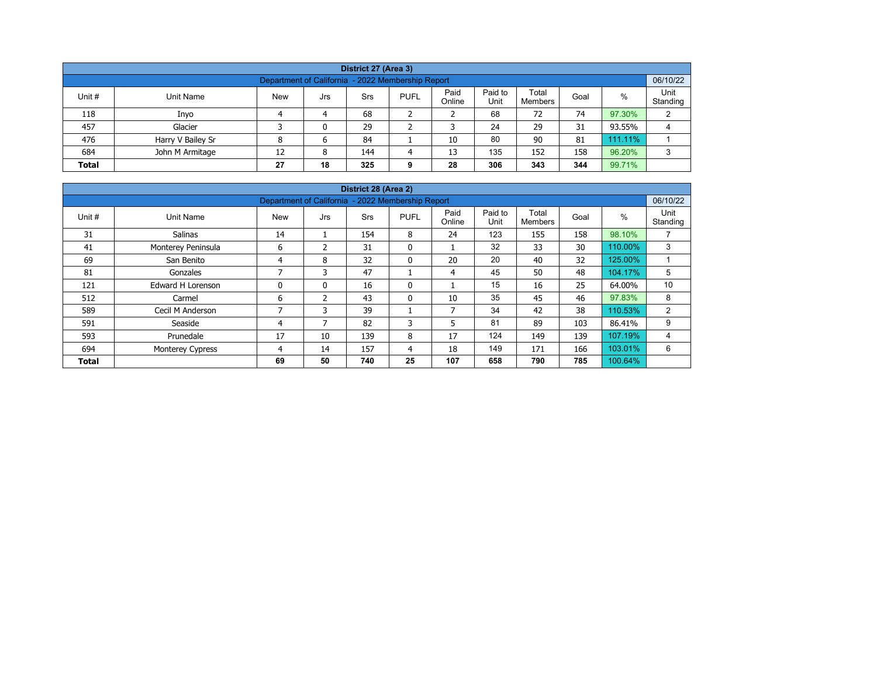| District 27 (Area 3)                                                                                                                             |                                                   |   |   |    |  |    |    |    |    |         |   |  |  |  |
|--------------------------------------------------------------------------------------------------------------------------------------------------|---------------------------------------------------|---|---|----|--|----|----|----|----|---------|---|--|--|--|
|                                                                                                                                                  | Department of California - 2022 Membership Report |   |   |    |  |    |    |    |    |         |   |  |  |  |
| Paid<br>Paid to<br>Total<br>%<br><b>PUFL</b><br>Unit #<br>Unit Name<br><b>New</b><br>Srs<br>Goal<br>Jrs<br>Online<br>Unit<br>Standing<br>Members |                                                   |   |   |    |  |    |    |    |    |         |   |  |  |  |
| 118                                                                                                                                              | Inyo                                              |   | 4 | 68 |  | ∠  | 68 | 72 | 74 | 97.30%  | 2 |  |  |  |
| 457                                                                                                                                              | Glacier                                           |   | 0 | 29 |  |    | 24 | 29 | 31 | 93.55%  | 4 |  |  |  |
| 476                                                                                                                                              | Harry V Bailey Sr                                 | 8 | 6 | 84 |  | 10 | 80 | 90 | 81 | 111.11% |   |  |  |  |
| 135<br>96.20%<br>152<br>158<br>684<br>12<br>144<br>13<br>John M Armitage<br>8                                                                    |                                                   |   |   |    |  |    |    |    |    |         |   |  |  |  |
| 306<br>99.71%<br>18<br>344<br>27<br>325<br>28<br>343<br><b>Total</b>                                                                             |                                                   |   |   |    |  |    |    |    |    |         |   |  |  |  |

| District 28 (Area 2)                                                         |                    |                          |                |            |              |                |                 |                         |      |         |                  |  |  |  |
|------------------------------------------------------------------------------|--------------------|--------------------------|----------------|------------|--------------|----------------|-----------------|-------------------------|------|---------|------------------|--|--|--|
| Department of California - 2022 Membership Report                            |                    |                          |                |            |              |                |                 |                         |      |         |                  |  |  |  |
| Unit #                                                                       | Unit Name          | New                      | Jrs            | <b>Srs</b> | <b>PUFL</b>  | Paid<br>Online | Paid to<br>Unit | Total<br><b>Members</b> | Goal | %       | Unit<br>Standing |  |  |  |
| 31                                                                           | <b>Salinas</b>     | 14                       |                | 154        | 8            | 24             | 123             | 155                     | 158  | 98.10%  | 7                |  |  |  |
| 41                                                                           | Monterey Peninsula | 6                        | $\mathcal{P}$  | 31         | $\mathbf{0}$ |                | 32              | 33                      | 30   | 110.00% | 3                |  |  |  |
| 69                                                                           | San Benito         | 4                        | 8              | 32         | 0            | 20             | 20              | 40                      | 32   | 125.00% |                  |  |  |  |
| 81                                                                           | Gonzales           | $\overline{\phantom{a}}$ | 3              | 47         |              | 4              | 45              | 50                      | 48   | 104.17% | 5                |  |  |  |
| 121                                                                          | Edward H Lorenson  | 0                        | $\mathbf{0}$   | 16         | 0            | ٠              | 15              | 16                      | 25   | 64.00%  | 10               |  |  |  |
| 512                                                                          | Carmel             | 6                        | $\overline{2}$ | 43         | $\mathbf{0}$ | 10             | 35              | 45                      | 46   | 97.83%  | 8                |  |  |  |
| 589                                                                          | Cecil M Anderson   | 7                        | 3              | 39         |              | $\overline{7}$ | 34              | 42                      | 38   | 110.53% | $\overline{2}$   |  |  |  |
| 591                                                                          | Seaside            | 4                        |                | 82         | 3            | 5              | 81              | 89                      | 103  | 86.41%  | 9                |  |  |  |
| 593                                                                          | Prunedale          | 17                       | 10             | 139        | 8            | 17             | 124             | 149                     | 139  | 107.19% | 4                |  |  |  |
| 694                                                                          | Monterey Cypress   | 4                        | 14             | 157        | 4            | 18             | 149             | 171                     | 166  | 103.01% | 6                |  |  |  |
| 50<br>25<br>785<br>740<br>107<br>658<br>790<br>69<br>100.64%<br><b>Total</b> |                    |                          |                |            |              |                |                 |                         |      |         |                  |  |  |  |